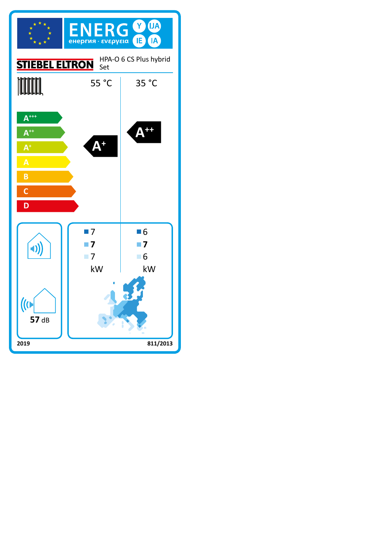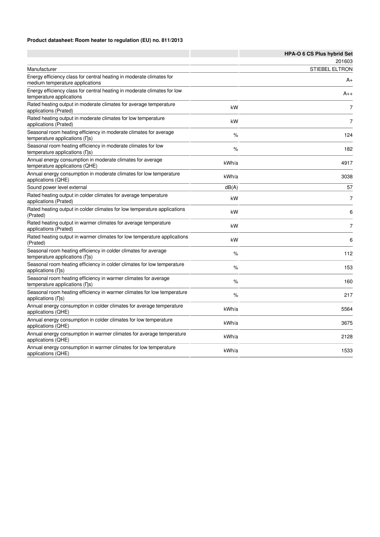### **Product datasheet: Room heater to regulation (EU) no. 811/2013**

|                                                                                                                    |       | HPA-O 6 CS Plus hybrid Set |
|--------------------------------------------------------------------------------------------------------------------|-------|----------------------------|
|                                                                                                                    |       | 201603                     |
| Manufacturer                                                                                                       |       | <b>STIEBEL ELTRON</b>      |
| Energy efficiency class for central heating in moderate climates for<br>medium temperature applications            |       | A+                         |
| Energy efficiency class for central heating in moderate climates for low<br>temperature applications               |       | A++                        |
| Rated heating output in moderate climates for average temperature<br>applications (Prated)                         | kW    | $\overline{7}$             |
| Rated heating output in moderate climates for low temperature<br>applications (Prated)                             | kW    | 7                          |
| Seasonal room heating efficiency in moderate climates for average<br>temperature applications (ns)                 | %     | 124                        |
| Seasonal room heating efficiency in moderate climates for low<br>temperature applications (ns)                     | %     | 182                        |
| Annual energy consumption in moderate climates for average<br>temperature applications (QHE)                       | kWh/a | 4917                       |
| Annual energy consumption in moderate climates for low temperature<br>applications (QHE)                           | kWh/a | 3038                       |
| Sound power level external                                                                                         | dB(A) | 57                         |
| Rated heating output in colder climates for average temperature<br>applications (Prated)                           | kW    | $\overline{7}$             |
| Rated heating output in colder climates for low temperature applications<br>(Prated)                               | kW    | 6                          |
| Rated heating output in warmer climates for average temperature<br>applications (Prated)                           | kW    | $\overline{7}$             |
| Rated heating output in warmer climates for low temperature applications<br>(Prated)                               | kW    | 6                          |
| Seasonal room heating efficiency in colder climates for average<br>temperature applications (ns)                   | $\%$  | 112                        |
| Seasonal room heating efficiency in colder climates for low temperature<br>applications (ns)                       | %     | 153                        |
| Seasonal room heating efficiency in warmer climates for average<br>temperature applications $( \nabla \mathbf{s})$ | %     | 160                        |
| Seasonal room heating efficiency in warmer climates for low temperature<br>applications (ns)                       | %     | 217                        |
| Annual energy consumption in colder climates for average temperature<br>applications (QHE)                         | kWh/a | 5564                       |
| Annual energy consumption in colder climates for low temperature<br>applications (QHE)                             | kWh/a | 3675                       |
| Annual energy consumption in warmer climates for average temperature<br>applications (QHE)                         | kWh/a | 2128                       |
| Annual energy consumption in warmer climates for low temperature<br>applications (QHE)                             | kWh/a | 1533                       |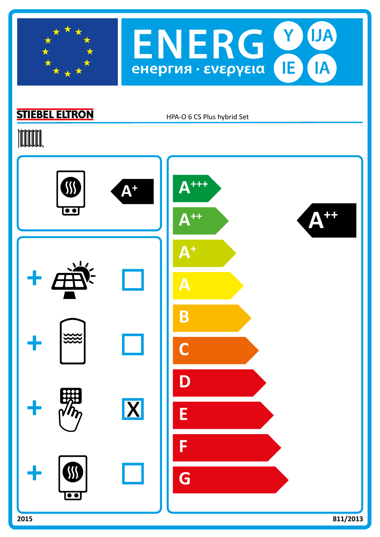



# **STIEBEL ELTRON**

HPA-O 6 CS Plus hybrid Set

# **TOOTAL**

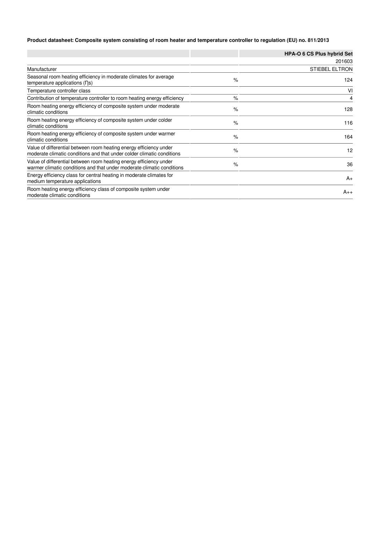### **Product datasheet: Composite system consisting of room heater and temperature controller to regulation (EU) no. 811/2013**

|                                                                                                                                              |      | <b>HPA-O 6 CS Plus hybrid Set</b> |
|----------------------------------------------------------------------------------------------------------------------------------------------|------|-----------------------------------|
|                                                                                                                                              |      | 201603                            |
| Manufacturer                                                                                                                                 |      | <b>STIEBEL ELTRON</b>             |
| Seasonal room heating efficiency in moderate climates for average<br>temperature applications $( \nabla \mathbf{s})$                         | $\%$ | 124                               |
| Temperature controller class                                                                                                                 |      | VI                                |
| Contribution of temperature controller to room heating energy efficiency                                                                     | $\%$ | 4                                 |
| Room heating energy efficiency of composite system under moderate<br>climatic conditions                                                     | $\%$ | 128                               |
| Room heating energy efficiency of composite system under colder<br>climatic conditions                                                       | $\%$ | 116                               |
| Room heating energy efficiency of composite system under warmer<br>climatic conditions                                                       | $\%$ | 164                               |
| Value of differential between room heating energy efficiency under<br>moderate climatic conditions and that under colder climatic conditions | $\%$ | 12                                |
| Value of differential between room heating energy efficiency under<br>warmer climatic conditions and that under moderate climatic conditions | $\%$ | 36                                |
| Energy efficiency class for central heating in moderate climates for<br>medium temperature applications                                      |      | $A_{+}$                           |
| Room heating energy efficiency class of composite system under<br>moderate climatic conditions                                               |      | $A_{++}$                          |